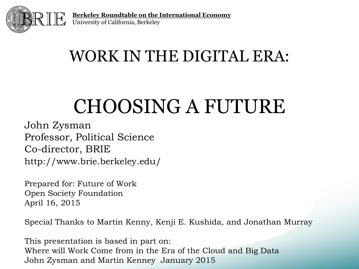

### WORK IN THE DIGITAL ERA:

## CHOOSING A FUTURE

John Zysman Professor, Political Science Co-director, BRIE http://www.brie.berkeley.edu/

Prepared for: Future of Work Open Society Foundation April 16, 2015

Special Thanks to Martin Kenny, Kenji E. Kushida, and Jonathan Murray

This presentation is based in part on: Where will Work Come from in the Era of the Cloud and Big Data John Zysman and Martin Kenney January 2015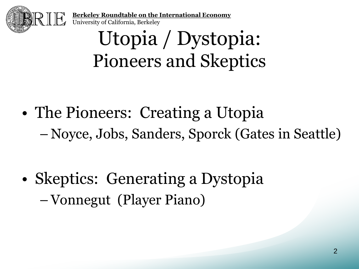

> Utopia / Dystopia: Pioneers and Skeptics

- The Pioneers: Creating a Utopia – Noyce, Jobs, Sanders, Sporck (Gates in Seattle)
- Skeptics: Generating a Dystopia –Vonnegut (Player Piano)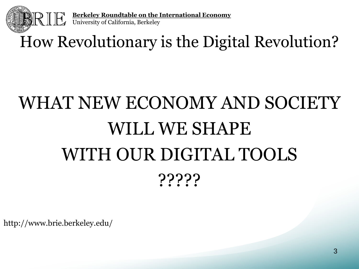

### How Revolutionary is the Digital Revolution?

# WHAT NEW ECONOMY AND SOCIETY WILL WE SHAPE WITH OUR DIGITAL TOOLS ?????

http://www.brie.berkeley.edu/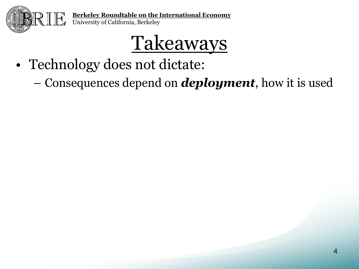

- Technology does not dictate:
	- Consequences depend on *deployment*, how it is used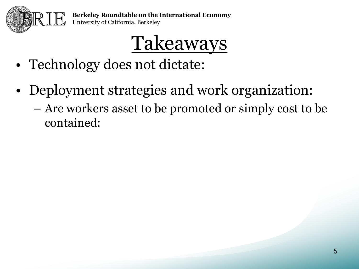

- Technology does not dictate:
- Deployment strategies and work organization: – Are workers asset to be promoted or simply cost to be contained: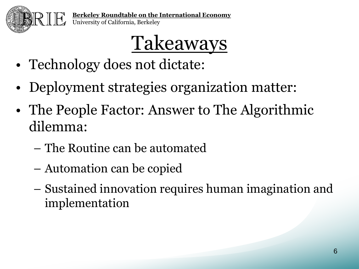

- Technology does not dictate:
- Deployment strategies organization matter:
- The People Factor: Answer to The Algorithmic dilemma:
	- The Routine can be automated
	- Automation can be copied
	- Sustained innovation requires human imagination and implementation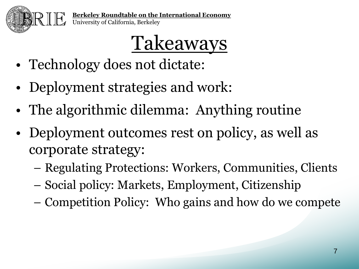

- Technology does not dictate:
- Deployment strategies and work:
- The algorithmic dilemma: Anything routine
- Deployment outcomes rest on policy, as well as corporate strategy:
	- Regulating Protections: Workers, Communities, Clients
	- Social policy: Markets, Employment, Citizenship
	- Competition Policy: Who gains and how do we compete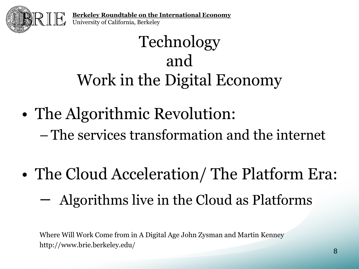

### Technology and Work in the Digital Economy

- The Algorithmic Revolution: – The services transformation and the internet
- The Cloud Acceleration/ The Platform Era: – Algorithms live in the Cloud as Platforms

Where Will Work Come from in A Digital Age John Zysman and Martin Kenney http://www.brie.berkeley.edu/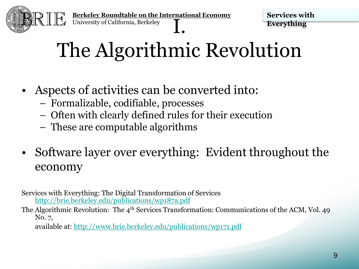

**Services with Everything**

# The Algorithmic Revolution

- Aspects of activities can be converted into:
	- Formalizable, codifiable, processes
	- Often with clearly defined rules for their execution
	- These are computable algorithms
- Software layer over everything: Evident throughout the economy

Services with Everything: The Digital Transformation of Services <http://brie.berkeley.edu/publications/wp187a.pdf>

The Algorithmic Revolution: The 4<sup>th</sup> Services Transformation: Communications of the ACM, Vol. 49 No. 7,

available at: <http://www.brie.berkeley.edu/publications/wp171.pdf>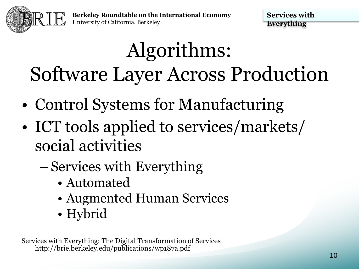

**Services with Everything**

# Algorithms: Software Layer Across Production

- Control Systems for Manufacturing
- ICT tools applied to services/markets/ social activities
	- Services with Everything
		- Automated
		- Augmented Human Services
		- Hybrid

Services with Everything: The Digital Transformation of Services http://brie.berkeley.edu/publications/wp187a.pdf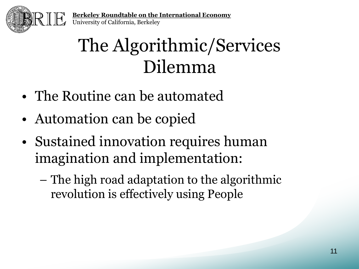

## The Algorithmic/Services Dilemma

- The Routine can be automated
- Automation can be copied
- Sustained innovation requires human imagination and implementation:
	- The high road adaptation to the algorithmic revolution is effectively using People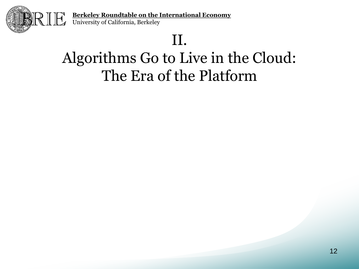

#### II.

#### Algorithms Go to Live in the Cloud: The Era of the Platform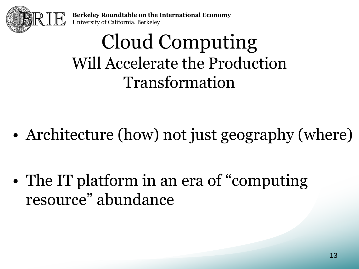

## Cloud Computing Will Accelerate the Production Transformation

- Architecture (how) not just geography (where)
- The IT platform in an era of "computing" resource" abundance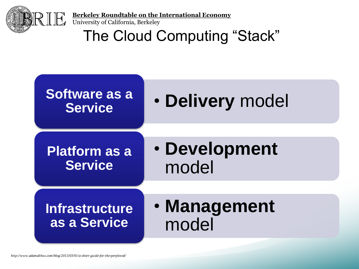

**Berkeley Roundtable on the International Economy**

University of California, Berkeley

The Cloud Computing "Stack"

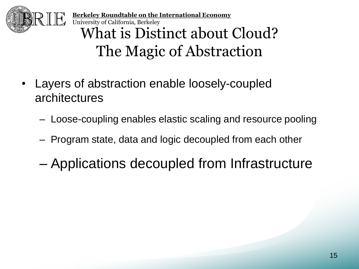

**Berkeley Roundtable on the International Economy** University of California, Berkeley What is Distinct about Cloud? The Magic of Abstraction

- Layers of abstraction enable loosely-coupled architectures
	- Loose-coupling enables elastic scaling and resource pooling
	- Program state, data and logic decoupled from each other
	- Applications decoupled from Infrastructure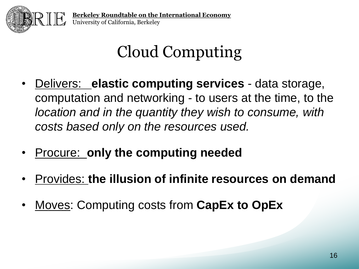

## Cloud Computing

- Delivers: **elastic computing services**  data storage, computation and networking - to users at the time, to the *location and in the quantity they wish to consume, with costs based only on the resources used.*
- Procure: **only the computing needed**
- Provides: **the illusion of infinite resources on demand**
- Moves: Computing costs from **CapEx to OpEx**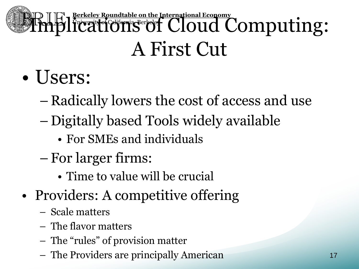# **Berkeley Roundtable on the International Economy**<br>
Timplications of Cloud Computing: A First Cut

- Users:
	- Radically lowers the cost of access and use
	- Digitally based Tools widely available
		- For SMEs and individuals
	- For larger firms:
		- Time to value will be crucial
- Providers: A competitive offering
	- Scale matters
	- The flavor matters
	- The "rules" of provision matter
	- The Providers are principally American <sup>17</sup>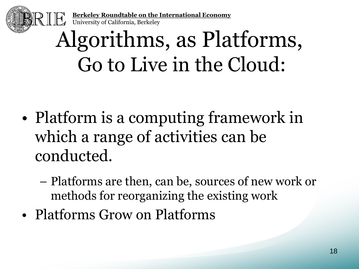

# Algorithms, as Platforms, Go to Live in the Cloud:

- Platform is a computing framework in which a range of activities can be conducted.
	- Platforms are then, can be, sources of new work or methods for reorganizing the existing work
- Platforms Grow on Platforms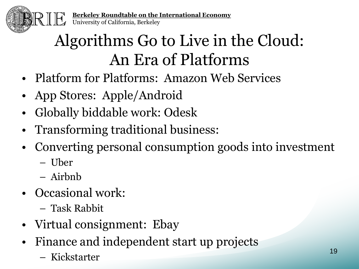

### Algorithms Go to Live in the Cloud: An Era of Platforms

- Platform for Platforms: Amazon Web Services
- App Stores: Apple/Android
- Globally biddable work: Odesk
- Transforming traditional business:
- Converting personal consumption goods into investment
	- Uber
	- Airbnb
- Occasional work:
	- Task Rabbit
- Virtual consignment: Ebay
- Finance and independent start up projects
	- Kickstarter <sup>19</sup>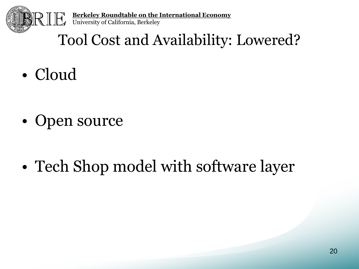

#### Tool Cost and Availability: Lowered?

• Cloud

- Open source
- Tech Shop model with software layer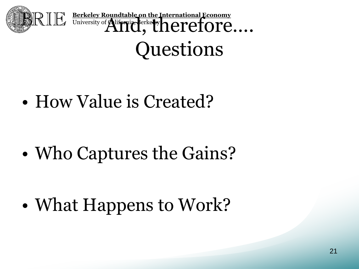

**Berkeley Roundtable on the International Economy**<br>University of **Alifornia, Berkeley And, Therefore**….. Questions

• How Value is Created?

• Who Captures the Gains?

• What Happens to Work?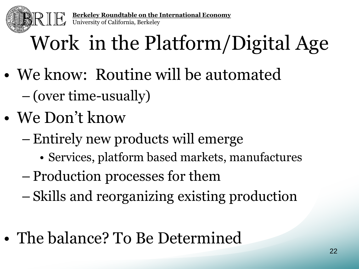

# Work in the Platform/Digital Age

- We know: Routine will be automated – (over time-usually)
- We Don't know
	- –Entirely new products will emerge
		- Services, platform based markets, manufactures
	- Production processes for them
	- Skills and reorganizing existing production
- The balance? To Be Determined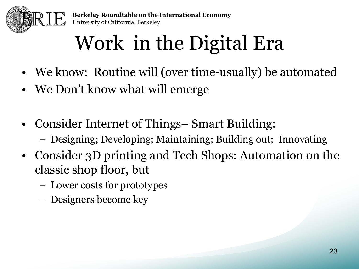

# Work in the Digital Era

- We know: Routine will (over time-usually) be automated
- We Don't know what will emerge
- Consider Internet of Things– Smart Building:
	- Designing; Developing; Maintaining; Building out; Innovating
- Consider 3D printing and Tech Shops: Automation on the classic shop floor, but
	- Lower costs for prototypes
	- Designers become key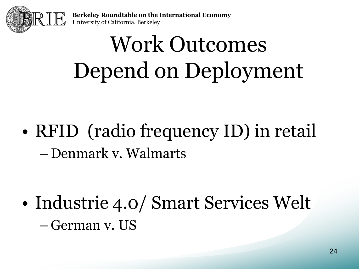

# Work Outcomes Depend on Deployment

• RFID (radio frequency ID) in retail – Denmark v. Walmarts

• Industrie 4.0/ Smart Services Welt – German v. US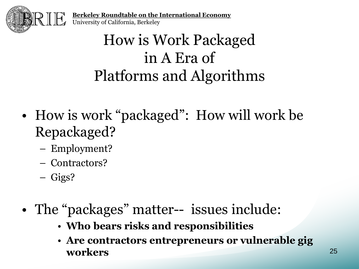

#### How is Work Packaged in A Era of Platforms and Algorithms

- How is work "packaged": How will work be Repackaged?
	- Employment?
	- Contractors?
	- Gigs?
- The "packages" matter-- issues include:
	- **Who bears risks and responsibilities**
	- **Are contractors entrepreneurs or vulnerable gig workers** <sup>25</sup>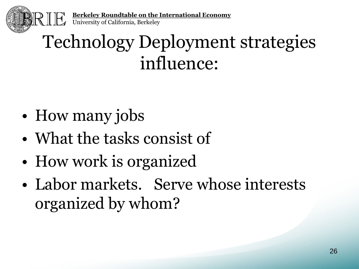

### Technology Deployment strategies influence:

- How many jobs
- What the tasks consist of
- How work is organized
- Labor markets. Serve whose interests organized by whom?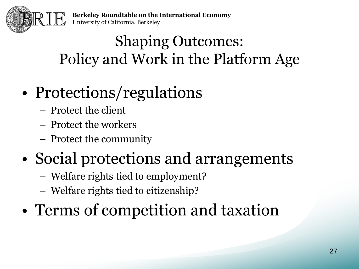

### Shaping Outcomes: Policy and Work in the Platform Age

### • Protections/regulations

- Protect the client
- Protect the workers
- Protect the community

### • Social protections and arrangements

- Welfare rights tied to employment?
- Welfare rights tied to citizenship?
- Terms of competition and taxation